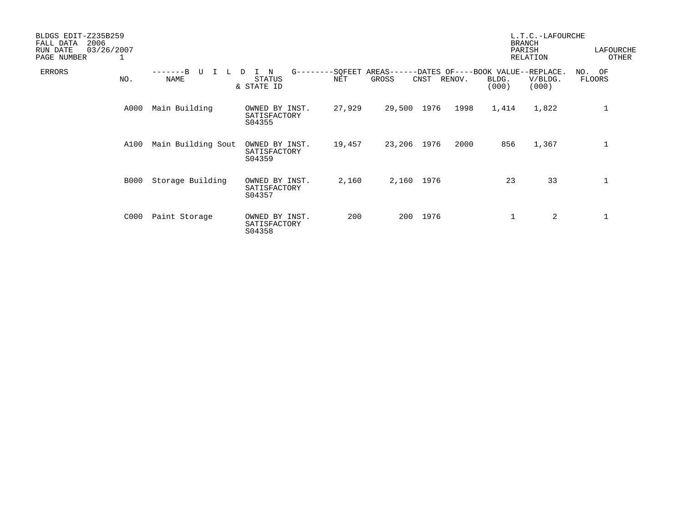| BLDGS EDIT-Z235B259<br>2006<br>FALL DATA<br>RUN DATE<br>PAGE NUMBER | 03/26/2007<br>1 |                    |                                              |        |                                                               |      |        |                | L.T.C.-LAFOURCHE<br><b>BRANCH</b><br>PARISH<br>RELATION | LAFOURCHE<br>OTHER |
|---------------------------------------------------------------------|-----------------|--------------------|----------------------------------------------|--------|---------------------------------------------------------------|------|--------|----------------|---------------------------------------------------------|--------------------|
| <b>ERRORS</b>                                                       | NO.             | $--B$<br>NAME      | $G$ ------<br>N<br>D<br>STATUS<br>& STATE ID | NET    | --SQFEET AREAS------DATES OF----BOOK VALUE--REPLACE.<br>GROSS | CNST | RENOV. | BLDG.<br>(000) | V/BLDG.<br>(000)                                        | NO. OF<br>FLOORS   |
|                                                                     | A000            | Main Building      | OWNED BY INST.<br>SATISFACTORY<br>S04355     | 27,929 | 29,500 1976                                                   |      | 1998   | 1,414          | 1,822                                                   | 1                  |
|                                                                     | A100            | Main Building Sout | OWNED BY INST.<br>SATISFACTORY<br>S04359     | 19,457 | 23,206 1976                                                   |      | 2000   | 856            | 1,367                                                   | 1                  |
|                                                                     | B000            | Storage Building   | OWNED BY INST.<br>SATISFACTORY<br>S04357     | 2,160  | 2,160 1976                                                    |      |        | 23             | 33                                                      | 1                  |
|                                                                     | C000            | Paint Storage      | OWNED BY INST.<br>SATISFACTORY<br>S04358     | 200    | 200                                                           | 1976 |        |                | 2                                                       |                    |